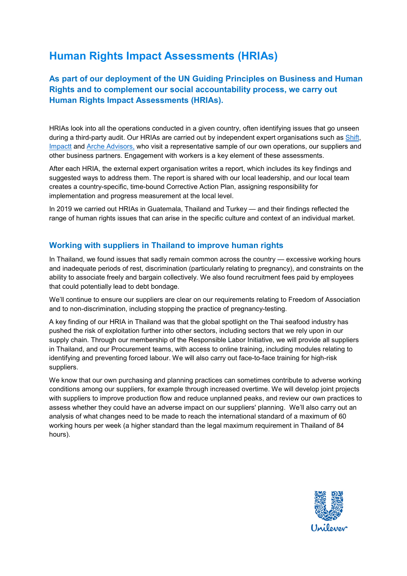# **Human Rights Impact Assessments (HRIAs)**

## **As part of our deployment of the UN Guiding Principles on Business and Human Rights and to complement our social accountability process, we carry out Human Rights Impact Assessments (HRIAs).**

HRIAs look into all the operations conducted in a given country, often identifying issues that go unseen during a third-party audit. Our HRIAs are carried out by independent expert organisations such as [Shift,](https://www.shiftproject.org/) [Impactt](https://impacttlimited.com/) and Arche [Advisors,](http://www.archeadvisors.com/) who visit a representative sample of our own operations, our suppliers and other business partners. Engagement with workers is a key element of these assessments.

After each HRIA, the external expert organisation writes a report, which includes its key findings and suggested ways to address them. The report is shared with our local leadership, and our local team creates a country-specific, time-bound Corrective Action Plan, assigning responsibility for implementation and progress measurement at the local level.

In 2019 we carried out HRIAs in Guatemala, Thailand and Turkey — and their findings reflected the range of human rights issues that can arise in the specific culture and context of an individual market.

### **Working with suppliers in Thailand to improve human rights**

In Thailand, we found issues that sadly remain common across the country — excessive working hours and inadequate periods of rest, discrimination (particularly relating to pregnancy), and constraints on the ability to associate freely and bargain collectively. We also found recruitment fees paid by employees that could potentially lead to debt bondage.

We'll continue to ensure our suppliers are clear on our requirements relating to Freedom of Association and to non-discrimination, including stopping the practice of pregnancy-testing.

A key finding of our HRIA in Thailand was that the global spotlight on the Thai seafood industry has pushed the risk of exploitation further into other sectors, including sectors that we rely upon in our supply chain. Through our membership of the Responsible Labor Initiative, we will provide all suppliers in Thailand, and our Procurement teams, with access to online training, including modules relating to identifying and preventing forced labour. We will also carry out face-to-face training for high-risk suppliers.

We know that our own purchasing and planning practices can sometimes contribute to adverse working conditions among our suppliers, for example through increased overtime. We will develop joint projects with suppliers to improve production flow and reduce unplanned peaks, and review our own practices to assess whether they could have an adverse impact on our suppliers' planning. We'll also carry out an analysis of what changes need to be made to reach the international standard of a maximum of 60 working hours per week (a higher standard than the legal maximum requirement in Thailand of 84 hours).